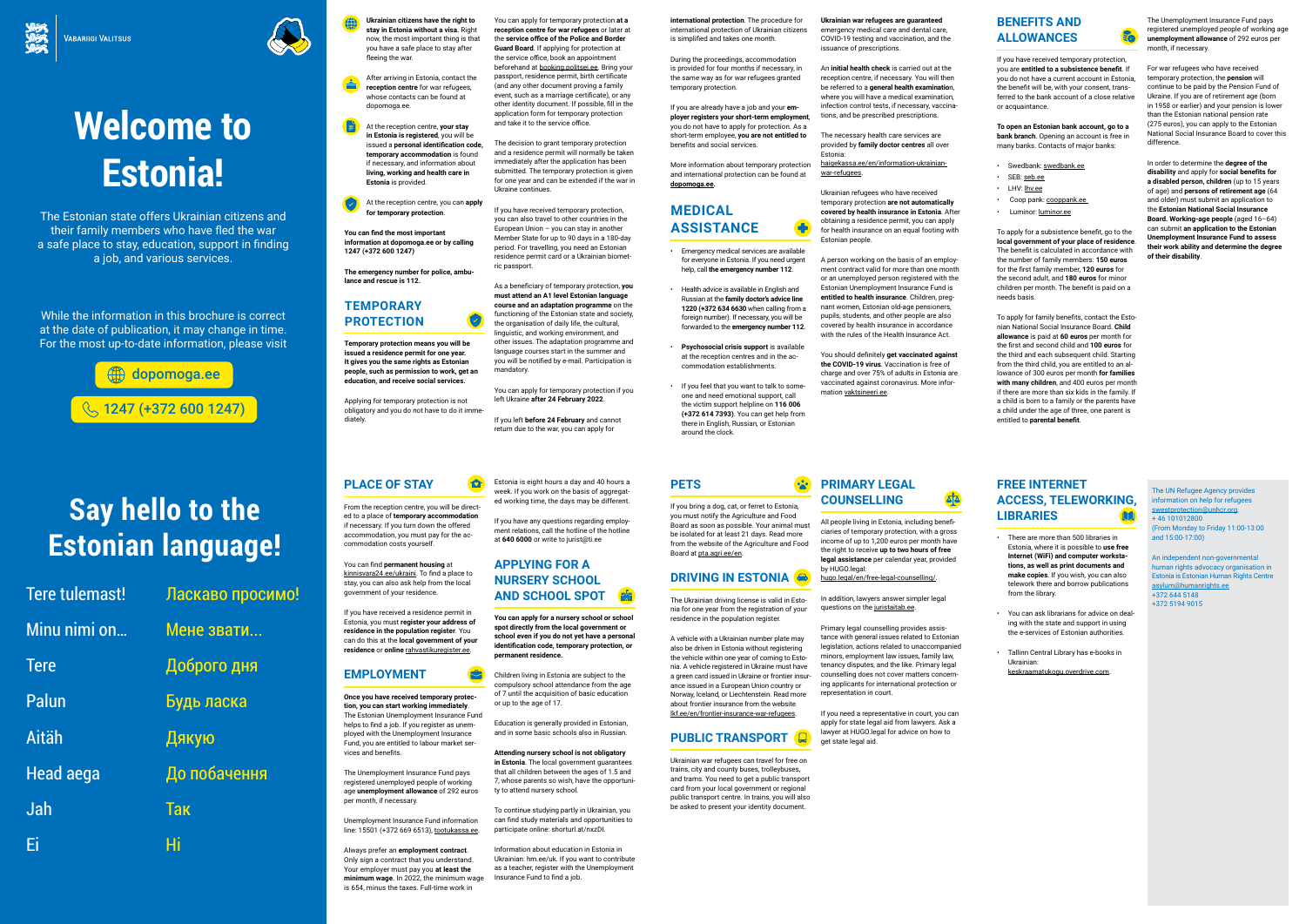





### **PLACE OF STAY**

From the reception centre, you will be directed to a place of **temporary accommodation** if necessary. If you turn down the offered accommodation, you must pay for the accommodation costs yourself.

**10** 

You can find **permanent housing** at kinnisvara24.ee/ukraini. To find a place to stay, you can also ask help from the local government of your residence.

ed temporary prote**d tion, you can start working immediately**. The Estonian Unemployment Insurance Fund helps to find a job. If you register as unemployed with the Unemployment Insurance Fund, you are entitled to labour market services and benefits.

If you have received a residence permit in Estonia, you must **register your address of residence in the population register**. You can do this at the **local government of your residence** or **online** rahvastikuregister.ee.

### **EMPLOYMENT**

The Unemployment Insurance Fund pays registered unemployed people of working age **unemployment allowance** of 292 euros per month, if necessary.

Unemployment Insurance Fund information line: 15501 (+372 669 6513), tootukassa.ee.

Always prefer an **employment contract**. Only sign a contract that you understand. Your employer must pay you **at least the minimum wage**. In 2022, the minimum wage is 654, minus the taxes. Full-time work in

Estonia is eight hours a day and 40 hours a week. If you work on the basis of aggregated working time, the days may be different.

If you have any questions regarding employment relations, call the hotline of the hotline at **640 6000** or write to jurist@ti.ee

#### **APPLYING FOR A NURSERY SCHOOL AND SCHOOL SPOT**

**You can apply for a nursery school or school spot directly from the local government or school even if you do not yet have a personal identification code, temporary protection, or permanent residence.** 

Children living in Estonia are subject to the compulsory school attendance from the age of 7 until the acquisition of basic education or up to the age of 17.

Education is generally provided in Estonian, and in some basic schools also in Russian.

**Attending nursery school is not obligatory** 

**in Estonia**. The local government guarantees that all children between the ages of 1.5 and 7, whose parents so wish, have the opportunity to attend nursery school.

To continue studying partly in Ukrainian, you can find study materials and opportunities to participate online: shorturl.at/nxzDI.

Information about education in Estonia in Ukrainian: hm.ee/uk. If you want to contribute as a teacher, register with the Unemployment Insurance Fund to find a job.

#### **FREE INTERNET ACCESS, TELEWORKING, LIBRARIES**

- There are more than 500 libraries in Estonia, where it is possible to **use free Internet (WiFi) and computer workstations, as well as print documents and make copies**. If you wish, you can also telework there and borrow publications from the library.
- You can ask librarians for advice on dealing with the state and support in using the e-services of Estonian authorities.
- Tallinn Central Library has e-books in Ukrainian: keskraamatukogu.overdrive.com.

# **Welcome to Estonia!**

The Estonian state offers Ukrainian citizens and their family members who have fled the war a safe place to stay, education, support in finding a job, and various services.

While the information in this brochure is correct at the date of publication, it may change in time. For the most up-to-date information, please visit

# **Say hello to the Estonian language!**

| Tere tulemast!   | Ласкаво просимо! |
|------------------|------------------|
| Minu nimi on     | Мене звати       |
| <b>Tere</b>      | Доброго дня      |
| <b>Palun</b>     | Будь ласка       |
| <b>Aitäh</b>     | Дякую            |
| <b>Head aega</b> | До побачення     |
| Jah              | <b>Tak</b>       |
| Ei               | Hi               |

**Ukrainian citizens have the right to stay in Estonia without a visa.** Right now, the most important thing is that you have a safe place to stay after fleeing the war.

After arriving in Estonia, contact the **reception centre** for war refugees, whose contacts can be found at dopomoga.ee.



At the reception centre, you can **apply for temporary protection**.

**You can find the most important information at dopomoga.ee or by calling 1247 (+372 600 1247)**

**The emergency number for police, ambulance and rescue is 112.** 

#### **TEMPORARY PROTECTION**

**Temporary protection means you will be issued a residence permit for one year. It gives you the same rights as Estonian people, such as permission to work, get an education, and receive social services.**

Applying for temporary protection is not obligatory and you do not have to do it immediately.

You can apply for temporary protection **at a reception centre for war refugees** or later at the **service office of the Police and Border Guard Board**. If applying for protection at the service office, book an appointment beforehand at booking.politsei.ee. Bring your passport, residence permit, birth certificate (and any other document proving a family event, such as a marriage certificate), or any other identity document. If possible, fill in the application form for temporary protection and take it to the service office.

The Unemployment Insurance Fund pays registered unemployed people of working age **unemployment allowance** of 292 euros per month, if necessary.

The decision to grant temporary protection and a residence permit will normally be taken immediately after the application has been submitted. The temporary protection is given for one year and can be extended if the war in Ukraine continues.

If you have received temporary protection, you can also travel to other countries in the European Union – you can stay in another Member State for up to 90 days in a 180-day period. For travelling, you need an Estonian residence permit card or a Ukrainian biometric passport.

As a beneficiary of temporary protection, **you must attend an A1 level Estonian language course and an adaptation programme** on the functioning of the Estonian state and society, the organisation of daily life, the cultural, linguistic, and working environment, and other issues. The adaptation programme and language courses start in the summer and you will be notified by e-mail. Participation is mandatory.

You can apply for temporary protection if you left Ukraine **after 24 February 2022**.

If you left **before 24 February** and cannot return due to the war, you can apply for

> In addition, lawyers answer simpler legal questions on the juristaitab.ee.

**international protection**. The procedure for international protection of Ukrainian citizens is simplified and takes one month.

During the proceedings, accommodation is provided for four months if necessary, in the same way as for war refugees granted temporary protection.

If you are already have a job and your **employer registers your short-term employment**, you do not have to apply for protection. As a short-term employee, **you are not entitled to** benefits and social services.

More information about temporary protection and international protection can be found at

**dopomoga.ee.**

- 
- 
- 

### **MEDICAL ASSISTANCE**

• Emergency medical services are available for everyone in Estonia. If you need urgent help, call **the emergency number 112**.

• Health advice is available in English and Russian at the **family doctor's advice line 1220 (+372 634 6630** when calling from a foreign number). If necessary, you will be forwarded to the **emergency number 112**.

• **Psychosocial crisis support** is available at the reception centres and in the accommodation establishments.

• If you feel that you want to talk to someone and need emotional support, call the victim support helpline on **116 006 (+372 614 7393)**. You can get help from there in English, Russian, or Estonian around the clock.

**Ukrainian war refugees are guaranteed**  emergency medical care and dental care, COVID-19 testing and vaccination, and the issuance of prescriptions.

An **initial health check** is carried out at the reception centre, if necessary. You will then be referred to a **general health examinatio**n, where you will have a medical examination, infection control tests, if necessary, vaccinations, and be prescribed prescriptions.

The necessary health care services are provided by **family doctor centres** all over Estonia: haigekassa.ee/en/information-ukrainianwar-refugees.

Ukrainian refugees who have received temporary protection **are not automatically covered by health insurance in Estonia**. After obtaining a residence permit, you can apply for health insurance on an equal footing with Estonian people.

A person working on the basis of an employment contract valid for more than one month or an unemployed person registered with the Estonian Unemployment Insurance Fund is **entitled to health insurance**. Children, pregnant women, Estonian old-age pensioners, pupils, students, and other people are also covered by health insurance in accordance with the rules of the Health Insurance Act.

You should definitely **get vaccinated against the COVID-19 virus**. Vaccination is free of charge and over 75% of adults in Estonia are vaccinated against coronavirus. More information vaktsineeri.ee.

### **BENEFITS AND ALLOWANCES**

If you have received temporary protection, you are **entitled to a subsistence benefit**. If you do not have a current account in Estonia, the benefit will be, with your consent, transferred to the bank account of a close relative or acquaintance.

**To open an Estonian bank account, go to a bank branch**. Opening an account is free in many banks. Contacts of major banks:

- Swedbank: swedbank.ee
- SEB: seb.ee
- LHV: lhv.ee
- Coop pank: cooppank.ee
- Luminor: luminor.ee

To apply for a subsistence benefit, go to the **local government of your place of residence**. The benefit is calculated in accordance with the number of family members: **150 euros** for the first family member, **120 euros** for the second adult, and **180 euros** for minor children per month. The benefit is paid on a needs basis.

To apply for family benefits, contact the Estonian National Social Insurance Board. **Child allowance** is paid at **60 euros** per month for the first and second child and **100 euros** for the third and each subsequent child. Starting from the third child, you are entitled to an allowance of 300 euros per month **for families with many children**, and 400 euros per month if there are more than six kids in the family. If a child is born to a family or the parents have a child under the age of three, one parent is entitled to **parental benefit**.

For war refugees who have received temporary protection, the **pension** will continue to be paid by the Pension Fund of Ukraine. If you are of retirement age (born in 1958 or earlier) and your pension is lower than the Estonian national pension rate (275 euros), you can apply to the Estonian National Social Insurance Board to cover this difference.

In order to determine the **degree of the disability** and apply for **social benefits for a disabled person, children** (up to 15 years of age) and **persons of retirement age** (64 and older) must submit an application to the **Estonian National Social Insurance Board. Working-age people** (aged 16–64) can submit **an application to the Estonian Unemployment Insurance Fund to assess their work ability and determine the degree of their disability**.

## **PETS**

If you bring a dog, cat, or ferret to Estonia, you must notify the Agriculture and Food Board as soon as possible. Your animal must be isolated for at least 21 days. Read more from the website of the Agriculture and Food Board at pta.agri.ee/en.

### **DRIVING IN ESTONIA**

The Ukrainian driving license is valid in Estonia for one year from the registration of your residence in the population register.

A vehicle with a Ukrainian number plate may also be driven in Estonia without registering the vehicle within one year of coming to Estonia. A vehicle registered in Ukraine must have a green card issued in Ukraine or frontier insurance issued in a European Union country or Norway, Iceland, or Liechtenstein. Read more about frontier insurance from the website lkf.ee/en/frontier-insurance-war-refugees.

### **PUBLIC TRANSPORT**

Ukrainian war refugees can travel for free on trains, city and county buses, trolleybuses, and trams. You need to get a public transport card from your local government or regional public transport centre. In trains, you will also be asked to present your identity document.

#### **PRIMARY LEGAL**  <u>Aja</u> **COUNSELLING**

All people living in Estonia, including beneficiaries of temporary protection, with a gross income of up to 1,200 euros per month have the right to receive **up to two hours of free legal assistance** per calendar year, provided by HUGO.legal:

hugo.legal/en/free-legal-counselling/.

Primary legal counselling provides assistance with general issues related to Estonian legislation, actions related to unaccompanied minors, employment law issues, family law, tenancy disputes, and the like. Primary legal counselling does not cover matters concerning applicants for international protection or representation in court.

If you need a representative in court, you can apply for state legal aid from lawyers. Ask a lawyer at HUGO.legal for advice on how to get state legal aid.

The UN Refugee Agency provides information on help for refugees swestprotection@unhcr.org, + 46 101012800 (From Monday to Friday 11:00-13:00 and 15:00-17:00)

An independent non-governmental human rights advocacy organisation in Estonia is Estonian Human Rights Centre asylum@humanrights.ee +372 644 5148 +372 5194 9015